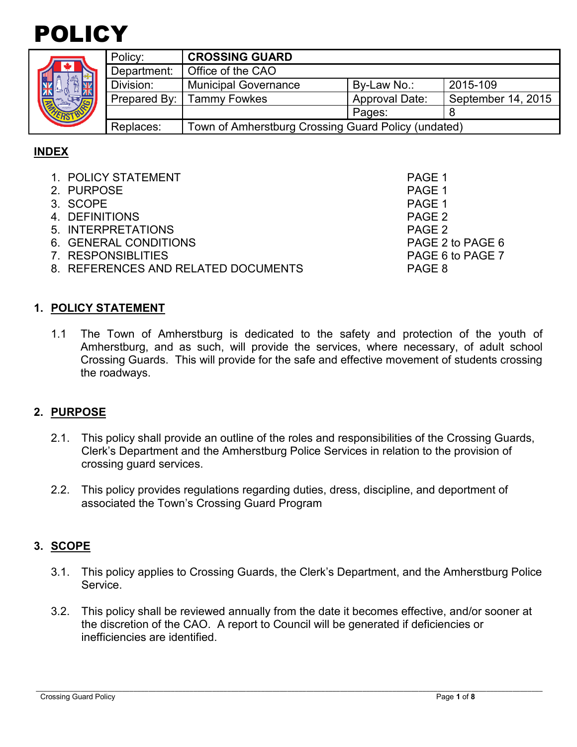

| ۰<br>٠ |    |  |
|--------|----|--|
|        | ER |  |

| Policy:     | <b>CROSSING GUARD</b>                               |                       |                    |
|-------------|-----------------------------------------------------|-----------------------|--------------------|
| Department: | Office of the CAO                                   |                       |                    |
| Division:   | <b>Municipal Governance</b>                         | By-Law No.:           | 2015-109           |
|             | Prepared By: Tammy Fowkes                           | <b>Approval Date:</b> | September 14, 2015 |
|             |                                                     | Pages:                |                    |
| Replaces:   | Town of Amherstburg Crossing Guard Policy (undated) |                       |                    |

## **INDEX**

| 1. POLICY STATEMENT                 | PAGE 1           |
|-------------------------------------|------------------|
| 2. PURPOSE                          | PAGE 1           |
| 3. SCOPE                            | PAGE 1           |
| 4. DEFINITIONS                      | PAGE 2           |
| 5. INTERPRETATIONS                  | PAGE 2           |
| 6. GENERAL CONDITIONS               | PAGE 2 to PAGE 6 |
| 7. RESPONSIBLITIES                  | PAGE 6 to PAGE 7 |
| 8. REFERENCES AND RELATED DOCUMENTS | PAGE 8           |
|                                     |                  |

### **1. POLICY STATEMENT**

1.1 The Town of Amherstburg is dedicated to the safety and protection of the youth of Amherstburg, and as such, will provide the services, where necessary, of adult school Crossing Guards. This will provide for the safe and effective movement of students crossing the roadways.

## **2. PURPOSE**

- 2.1. This policy shall provide an outline of the roles and responsibilities of the Crossing Guards, Clerk's Department and the Amherstburg Police Services in relation to the provision of crossing guard services.
- 2.2. This policy provides regulations regarding duties, dress, discipline, and deportment of associated the Town's Crossing Guard Program

## **3. SCOPE**

- 3.1. This policy applies to Crossing Guards, the Clerk's Department, and the Amherstburg Police Service.
- 3.2. This policy shall be reviewed annually from the date it becomes effective, and/or sooner at the discretion of the CAO. A report to Council will be generated if deficiencies or inefficiencies are identified.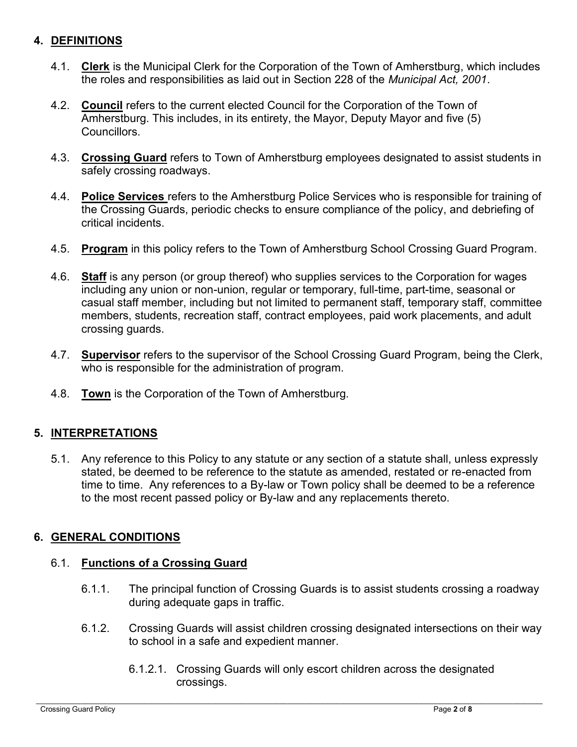## **4. DEFINITIONS**

- 4.1. **Clerk** is the Municipal Clerk for the Corporation of the Town of Amherstburg, which includes the roles and responsibilities as laid out in Section 228 of the *Municipal Act, 2001*.
- 4.2. **Council** refers to the current elected Council for the Corporation of the Town of Amherstburg. This includes, in its entirety, the Mayor, Deputy Mayor and five (5) Councillors.
- 4.3. **Crossing Guard** refers to Town of Amherstburg employees designated to assist students in safely crossing roadways.
- 4.4. **Police Services** refers to the Amherstburg Police Services who is responsible for training of the Crossing Guards, periodic checks to ensure compliance of the policy, and debriefing of critical incidents.
- 4.5. **Program** in this policy refers to the Town of Amherstburg School Crossing Guard Program.
- 4.6. **Staff** is any person (or group thereof) who supplies services to the Corporation for wages including any union or non-union, regular or temporary, full-time, part-time, seasonal or casual staff member, including but not limited to permanent staff, temporary staff, committee members, students, recreation staff, contract employees, paid work placements, and adult crossing guards.
- 4.7. **Supervisor** refers to the supervisor of the School Crossing Guard Program, being the Clerk, who is responsible for the administration of program.
- 4.8. **Town** is the Corporation of the Town of Amherstburg.

#### **5. INTERPRETATIONS**

5.1. Any reference to this Policy to any statute or any section of a statute shall, unless expressly stated, be deemed to be reference to the statute as amended, restated or re-enacted from time to time. Any references to a By-law or Town policy shall be deemed to be a reference to the most recent passed policy or By-law and any replacements thereto.

#### **6. GENERAL CONDITIONS**

#### 6.1. **Functions of a Crossing Guard**

- 6.1.1. The principal function of Crossing Guards is to assist students crossing a roadway during adequate gaps in traffic.
- 6.1.2. Crossing Guards will assist children crossing designated intersections on their way to school in a safe and expedient manner.
	- 6.1.2.1. Crossing Guards will only escort children across the designated crossings.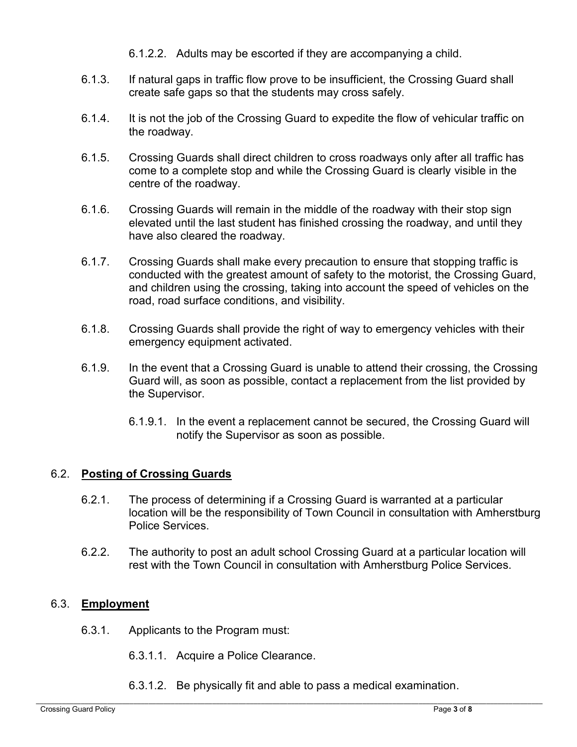- 6.1.2.2. Adults may be escorted if they are accompanying a child.
- 6.1.3. If natural gaps in traffic flow prove to be insufficient, the Crossing Guard shall create safe gaps so that the students may cross safely.
- 6.1.4. It is not the job of the Crossing Guard to expedite the flow of vehicular traffic on the roadway.
- 6.1.5. Crossing Guards shall direct children to cross roadways only after all traffic has come to a complete stop and while the Crossing Guard is clearly visible in the centre of the roadway.
- 6.1.6. Crossing Guards will remain in the middle of the roadway with their stop sign elevated until the last student has finished crossing the roadway, and until they have also cleared the roadway.
- 6.1.7. Crossing Guards shall make every precaution to ensure that stopping traffic is conducted with the greatest amount of safety to the motorist, the Crossing Guard, and children using the crossing, taking into account the speed of vehicles on the road, road surface conditions, and visibility.
- 6.1.8. Crossing Guards shall provide the right of way to emergency vehicles with their emergency equipment activated.
- 6.1.9. In the event that a Crossing Guard is unable to attend their crossing, the Crossing Guard will, as soon as possible, contact a replacement from the list provided by the Supervisor.
	- 6.1.9.1. In the event a replacement cannot be secured, the Crossing Guard will notify the Supervisor as soon as possible.

## 6.2. **Posting of Crossing Guards**

- 6.2.1. The process of determining if a Crossing Guard is warranted at a particular location will be the responsibility of Town Council in consultation with Amherstburg Police Services.
- 6.2.2. The authority to post an adult school Crossing Guard at a particular location will rest with the Town Council in consultation with Amherstburg Police Services.

#### 6.3. **Employment**

- 6.3.1. Applicants to the Program must:
	- 6.3.1.1. Acquire a Police Clearance.
	- 6.3.1.2. Be physically fit and able to pass a medical examination.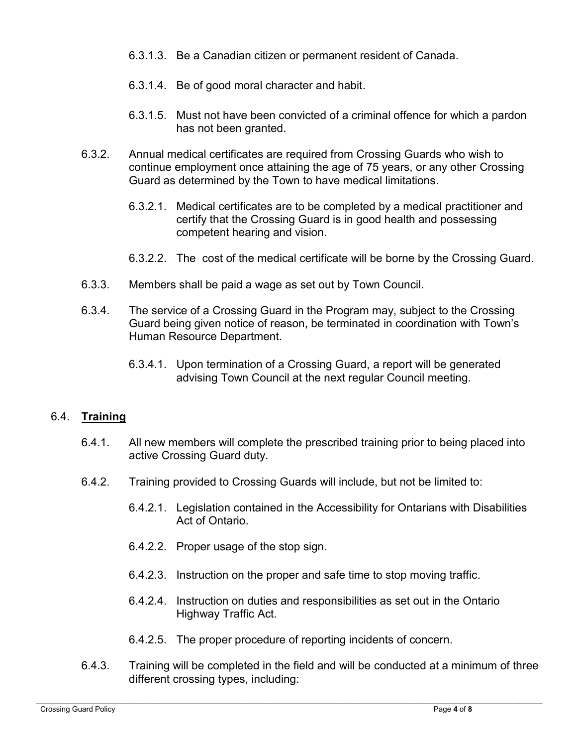- 6.3.1.3. Be a Canadian citizen or permanent resident of Canada.
- 6.3.1.4. Be of good moral character and habit.
- 6.3.1.5. Must not have been convicted of a criminal offence for which a pardon has not been granted.
- 6.3.2. Annual medical certificates are required from Crossing Guards who wish to continue employment once attaining the age of 75 years, or any other Crossing Guard as determined by the Town to have medical limitations.
	- 6.3.2.1. Medical certificates are to be completed by a medical practitioner and certify that the Crossing Guard is in good health and possessing competent hearing and vision.
	- 6.3.2.2. The cost of the medical certificate will be borne by the Crossing Guard.
- 6.3.3. Members shall be paid a wage as set out by Town Council.
- 6.3.4. The service of a Crossing Guard in the Program may, subject to the Crossing Guard being given notice of reason, be terminated in coordination with Town's Human Resource Department.
	- 6.3.4.1. Upon termination of a Crossing Guard, a report will be generated advising Town Council at the next regular Council meeting.

#### 6.4. **Training**

- 6.4.1. All new members will complete the prescribed training prior to being placed into active Crossing Guard duty.
- 6.4.2. Training provided to Crossing Guards will include, but not be limited to:
	- 6.4.2.1. Legislation contained in the Accessibility for Ontarians with Disabilities Act of Ontario.
	- 6.4.2.2. Proper usage of the stop sign.
	- 6.4.2.3. Instruction on the proper and safe time to stop moving traffic.
	- 6.4.2.4. Instruction on duties and responsibilities as set out in the Ontario Highway Traffic Act.
	- 6.4.2.5. The proper procedure of reporting incidents of concern.
- 6.4.3. Training will be completed in the field and will be conducted at a minimum of three different crossing types, including: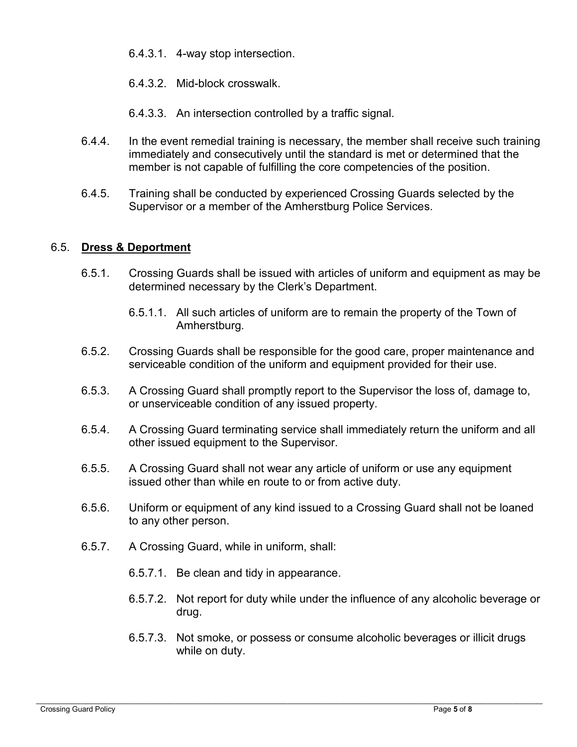- 6.4.3.1. 4-way stop intersection.
- 6.4.3.2. Mid-block crosswalk.
- 6.4.3.3. An intersection controlled by a traffic signal.
- 6.4.4. In the event remedial training is necessary, the member shall receive such training immediately and consecutively until the standard is met or determined that the member is not capable of fulfilling the core competencies of the position.
- 6.4.5. Training shall be conducted by experienced Crossing Guards selected by the Supervisor or a member of the Amherstburg Police Services.

### 6.5. **Dress & Deportment**

- 6.5.1. Crossing Guards shall be issued with articles of uniform and equipment as may be determined necessary by the Clerk's Department.
	- 6.5.1.1. All such articles of uniform are to remain the property of the Town of Amherstburg.
- 6.5.2. Crossing Guards shall be responsible for the good care, proper maintenance and serviceable condition of the uniform and equipment provided for their use.
- 6.5.3. A Crossing Guard shall promptly report to the Supervisor the loss of, damage to, or unserviceable condition of any issued property.
- 6.5.4. A Crossing Guard terminating service shall immediately return the uniform and all other issued equipment to the Supervisor.
- 6.5.5. A Crossing Guard shall not wear any article of uniform or use any equipment issued other than while en route to or from active duty.
- 6.5.6. Uniform or equipment of any kind issued to a Crossing Guard shall not be loaned to any other person.
- 6.5.7. A Crossing Guard, while in uniform, shall:
	- 6.5.7.1. Be clean and tidy in appearance.
	- 6.5.7.2. Not report for duty while under the influence of any alcoholic beverage or drug.
	- 6.5.7.3. Not smoke, or possess or consume alcoholic beverages or illicit drugs while on duty.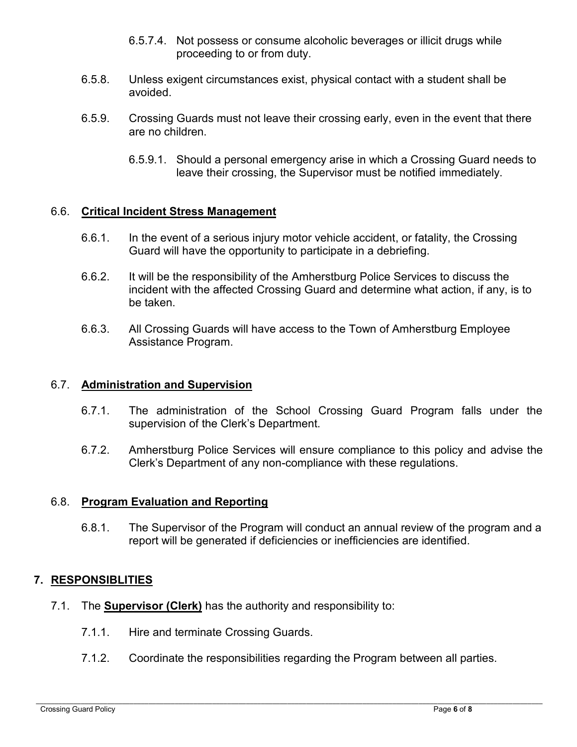- 6.5.7.4. Not possess or consume alcoholic beverages or illicit drugs while proceeding to or from duty.
- 6.5.8. Unless exigent circumstances exist, physical contact with a student shall be avoided.
- 6.5.9. Crossing Guards must not leave their crossing early, even in the event that there are no children.
	- 6.5.9.1. Should a personal emergency arise in which a Crossing Guard needs to leave their crossing, the Supervisor must be notified immediately.

#### 6.6. **Critical Incident Stress Management**

- 6.6.1. In the event of a serious injury motor vehicle accident, or fatality, the Crossing Guard will have the opportunity to participate in a debriefing.
- 6.6.2. It will be the responsibility of the Amherstburg Police Services to discuss the incident with the affected Crossing Guard and determine what action, if any, is to be taken.
- 6.6.3. All Crossing Guards will have access to the Town of Amherstburg Employee Assistance Program.

#### 6.7. **Administration and Supervision**

- 6.7.1. The administration of the School Crossing Guard Program falls under the supervision of the Clerk's Department.
- 6.7.2. Amherstburg Police Services will ensure compliance to this policy and advise the Clerk's Department of any non-compliance with these regulations.

#### 6.8. **Program Evaluation and Reporting**

6.8.1. The Supervisor of the Program will conduct an annual review of the program and a report will be generated if deficiencies or inefficiencies are identified.

#### **7. RESPONSIBLITIES**

- 7.1. The **Supervisor (Clerk)** has the authority and responsibility to:
	- 7.1.1. Hire and terminate Crossing Guards.
	- 7.1.2. Coordinate the responsibilities regarding the Program between all parties.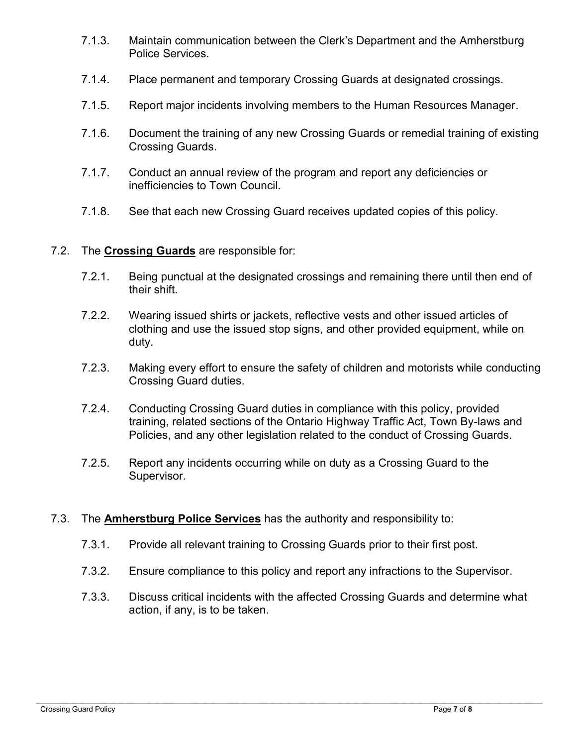- 7.1.3. Maintain communication between the Clerk's Department and the Amherstburg Police Services.
- 7.1.4. Place permanent and temporary Crossing Guards at designated crossings.
- 7.1.5. Report major incidents involving members to the Human Resources Manager.
- 7.1.6. Document the training of any new Crossing Guards or remedial training of existing Crossing Guards.
- 7.1.7. Conduct an annual review of the program and report any deficiencies or inefficiencies to Town Council.
- 7.1.8. See that each new Crossing Guard receives updated copies of this policy.

#### 7.2. The **Crossing Guards** are responsible for:

- 7.2.1. Being punctual at the designated crossings and remaining there until then end of their shift.
- 7.2.2. Wearing issued shirts or jackets, reflective vests and other issued articles of clothing and use the issued stop signs, and other provided equipment, while on duty.
- 7.2.3. Making every effort to ensure the safety of children and motorists while conducting Crossing Guard duties.
- 7.2.4. Conducting Crossing Guard duties in compliance with this policy, provided training, related sections of the Ontario Highway Traffic Act, Town By-laws and Policies, and any other legislation related to the conduct of Crossing Guards.
- 7.2.5. Report any incidents occurring while on duty as a Crossing Guard to the Supervisor.
- 7.3. The **Amherstburg Police Services** has the authority and responsibility to:
	- 7.3.1. Provide all relevant training to Crossing Guards prior to their first post.
	- 7.3.2. Ensure compliance to this policy and report any infractions to the Supervisor.
	- 7.3.3. Discuss critical incidents with the affected Crossing Guards and determine what action, if any, is to be taken.